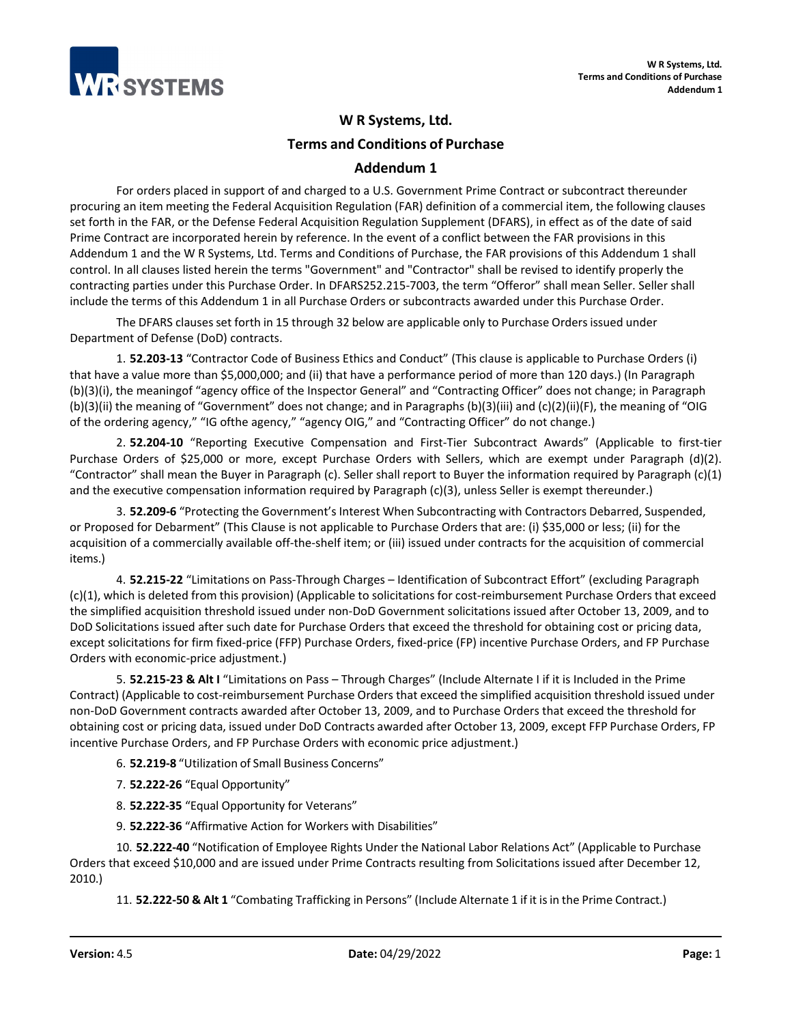

## **W R Systems, Ltd.**

**Terms and Conditions of Purchase** 

## **Addendum 1**

For orders placed in support of and charged to a U.S. Government Prime Contract or subcontract thereunder procuring an item meeting the Federal Acquisition Regulation (FAR) definition of a commercial item, the following clauses set forth in the FAR, or the Defense Federal Acquisition Regulation Supplement (DFARS), in effect as of the date of said Prime Contract are incorporated herein by reference. In the event of a conflict between the FAR provisions in this Addendum 1 and the W R Systems, Ltd. Terms and Conditions of Purchase, the FAR provisions of this Addendum 1 shall control. In all clauses listed herein the terms "Government" and "Contractor" shall be revised to identify properly the contracting parties under this Purchase Order. In DFARS252.215-7003, the term "Offeror" shall mean Seller. Seller shall include the terms of this Addendum 1 in all Purchase Orders or subcontracts awarded under this Purchase Order.

The DFARS clauses set forth in 15 through 32 below are applicable only to Purchase Orders issued under Department of Defense (DoD) contracts.

1. **52.203-13** "Contractor Code of Business Ethics and Conduct" (This clause is applicable to Purchase Orders (i) that have a value more than \$5,000,000; and (ii) that have a performance period of more than 120 days.) (In Paragraph (b)(3)(i), the meaningof "agency office of the Inspector General" and "Contracting Officer" does not change; in Paragraph (b)(3)(ii) the meaning of "Government" does not change; and in Paragraphs (b)(3)(iii) and (c)(2)(ii)(F), the meaning of "OIG of the ordering agency," "IG ofthe agency," "agency OIG," and "Contracting Officer" do not change.)

2. **52.204-10** "Reporting Executive Compensation and First-Tier Subcontract Awards" (Applicable to first-tier Purchase Orders of \$25,000 or more, except Purchase Orders with Sellers, which are exempt under Paragraph (d)(2). "Contractor" shall mean the Buyer in Paragraph (c). Seller shall report to Buyer the information required by Paragraph  $(c)(1)$ and the executive compensation information required by Paragraph (c)(3), unless Seller is exempt thereunder.)

3. **52.209-6** "Protecting the Government's Interest When Subcontracting with Contractors Debarred, Suspended, or Proposed for Debarment" (This Clause is not applicable to Purchase Orders that are: (i) \$35,000 or less; (ii) for the acquisition of a commercially available off-the-shelf item; or (iii) issued under contracts for the acquisition of commercial items.)

4. **52.215-22** "Limitations on Pass-Through Charges – Identification of Subcontract Effort" (excluding Paragraph (c)(1), which is deleted from this provision) (Applicable to solicitations for cost-reimbursement Purchase Orders that exceed the simplified acquisition threshold issued under non-DoD Government solicitations issued after October 13, 2009, and to DoD Solicitations issued after such date for Purchase Orders that exceed the threshold for obtaining cost or pricing data, except solicitations for firm fixed-price (FFP) Purchase Orders, fixed-price (FP) incentive Purchase Orders, and FP Purchase Orders with economic-price adjustment.)

5. **52.215-23 & Alt I** "Limitations on Pass – Through Charges" (Include Alternate I if it is Included in the Prime Contract) (Applicable to cost-reimbursement Purchase Orders that exceed the simplified acquisition threshold issued under non-DoD Government contracts awarded after October 13, 2009, and to Purchase Orders that exceed the threshold for obtaining cost or pricing data, issued under DoD Contracts awarded after October 13, 2009, except FFP Purchase Orders, FP incentive Purchase Orders, and FP Purchase Orders with economic price adjustment.)

6. **52.219-8** "Utilization of Small Business Concerns"

- 7. **52.222-26** "Equal Opportunity"
- 8. **52.222-35** "Equal Opportunity for Veterans"
- 9. **52.222-36** "Affirmative Action for Workers with Disabilities"

10. **52.222-40** "Notification of Employee Rights Under the National Labor Relations Act" (Applicable to Purchase Orders that exceed \$10,000 and are issued under Prime Contracts resulting from Solicitations issued after December 12, 2010.)

11. **52.222-50 & Alt 1** "Combating Trafficking in Persons" (Include Alternate 1 if it isin the Prime Contract.)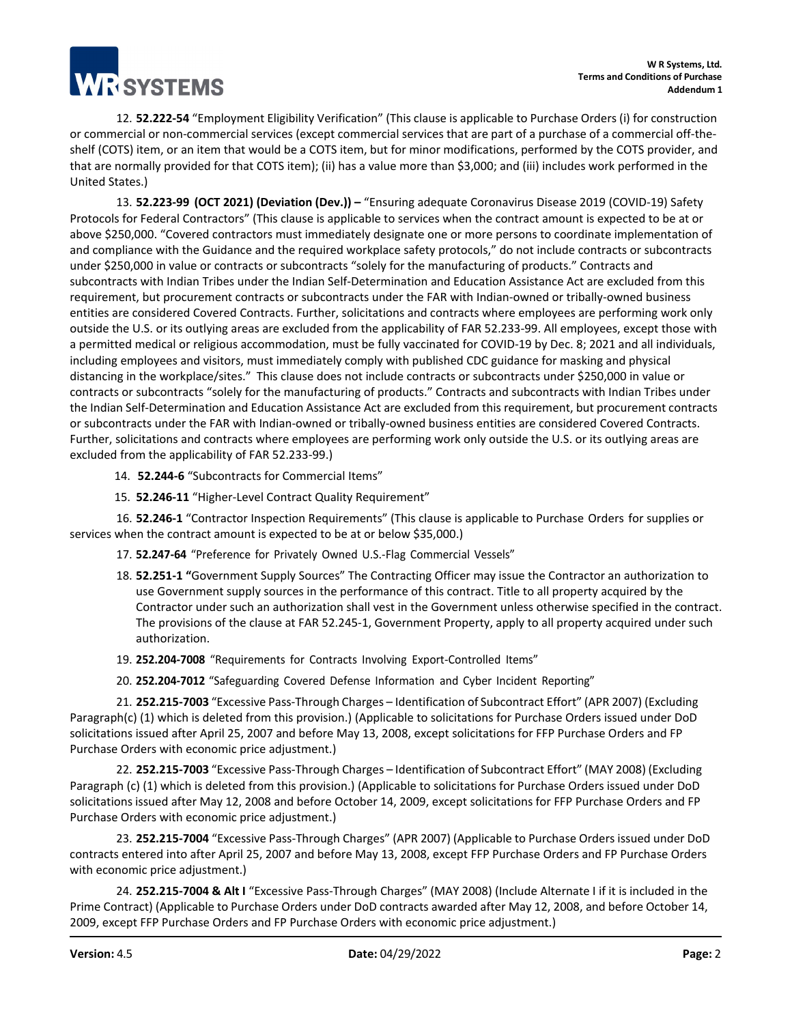**TESYSTEMS** 

12. **52.222-54** "Employment Eligibility Verification" (This clause is applicable to Purchase Orders (i) for construction or commercial or non-commercial services (except commercial services that are part of a purchase of a commercial off-theshelf (COTS) item, or an item that would be a COTS item, but for minor modifications, performed by the COTS provider, and that are normally provided for that COTS item); (ii) has a value more than \$3,000; and (iii) includes work performed in the United States.)

13. **52.223-99 (OCT 2021) (Deviation (Dev.)) –** "Ensuring adequate Coronavirus Disease 2019 (COVID-19) Safety Protocols for Federal Contractors" (This clause is applicable to services when the contract amount is expected to be at or above \$250,000. "Covered contractors must immediately designate one or more persons to coordinate implementation of and compliance with the Guidance and the required workplace safety protocols," do not include contracts or subcontracts under \$250,000 in value or contracts or subcontracts "solely for the manufacturing of products." Contracts and subcontracts with Indian Tribes under the Indian Self-Determination and Education Assistance Act are excluded from this requirement, but procurement contracts or subcontracts under the FAR with Indian-owned or tribally-owned business entities are considered Covered Contracts. Further, solicitations and contracts where employees are performing work only outside the U.S. or its outlying areas are excluded from the applicability of FAR 52.233-99. All employees, except those with a permitted medical or religious accommodation, must be fully vaccinated for COVID-19 by Dec. 8; 2021 and all individuals, including employees and visitors, must immediately comply with published CDC guidance for masking and physical distancing in the workplace/sites." This clause does not include contracts or subcontracts under \$250,000 in value or contracts or subcontracts "solely for the manufacturing of products." Contracts and subcontracts with Indian Tribes under the Indian Self-Determination and Education Assistance Act are excluded from this requirement, but procurement contracts or subcontracts under the FAR with Indian-owned or tribally-owned business entities are considered Covered Contracts. Further, solicitations and contracts where employees are performing work only outside the U.S. or its outlying areas are excluded from the applicability of FAR 52.233-99.)

14. **52.244-6** "Subcontracts for Commercial Items"

15. **52.246-11** "Higher-Level Contract Quality Requirement"

16. **52.246-1** "Contractor Inspection Requirements" (This clause is applicable to Purchase Orders for supplies or services when the contract amount is expected to be at or below \$35,000.)

- 17. **52.247-64** "Preference for Privately Owned U.S.-Flag Commercial Vessels"
- 18. **52.251-1 "**Government Supply Sources" The Contracting Officer may issue the Contractor an authorization to use Government supply sources in the performance of this contract. Title to all property acquired by the Contractor under such an authorization shall vest in the Government unless otherwise specified in the contract. The provisions of the clause at FAR 52.245-1, Government Property, apply to all property acquired under such authorization.
- 19. **252.204-7008** "Requirements for Contracts Involving Export-Controlled Items"
- 20. **252.204-7012** "Safeguarding Covered Defense Information and Cyber Incident Reporting"

21. **252.215-7003** "Excessive Pass-Through Charges – Identification of Subcontract Effort" (APR 2007) (Excluding Paragraph(c) (1) which is deleted from this provision.) (Applicable to solicitations for Purchase Orders issued under DoD solicitations issued after April 25, 2007 and before May 13, 2008, except solicitations for FFP Purchase Orders and FP Purchase Orders with economic price adjustment.)

22. **252.215-7003** "Excessive Pass-Through Charges – Identification of Subcontract Effort" (MAY 2008) (Excluding Paragraph (c) (1) which is deleted from this provision.) (Applicable to solicitations for Purchase Orders issued under DoD solicitations issued after May 12, 2008 and before October 14, 2009, except solicitations for FFP Purchase Orders and FP Purchase Orders with economic price adjustment.)

23. **252.215-7004** "Excessive Pass-Through Charges" (APR 2007) (Applicable to Purchase Orders issued under DoD contracts entered into after April 25, 2007 and before May 13, 2008, except FFP Purchase Orders and FP Purchase Orders with economic price adjustment.)

24. **252.215-7004 & Alt I** "Excessive Pass-Through Charges" (MAY 2008) (Include Alternate I if it is included in the Prime Contract) (Applicable to Purchase Orders under DoD contracts awarded after May 12, 2008, and before October 14, 2009, except FFP Purchase Orders and FP Purchase Orders with economic price adjustment.)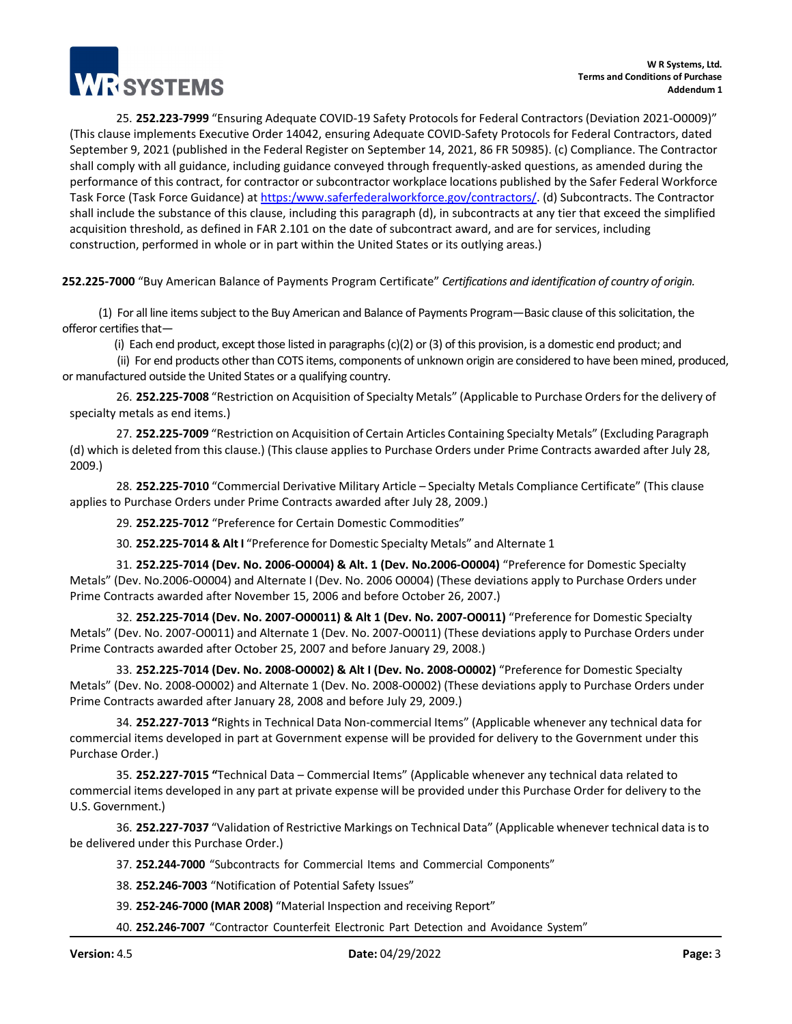

25. **252.223-7999** "Ensuring Adequate COVID-19 Safety Protocols for Federal Contractors (Deviation 2021-O0009)" (This clause implements Executive Order 14042, ensuring Adequate COVID-Safety Protocols for Federal Contractors, dated September 9, 2021 (published in the Federal Register on September 14, 2021, 86 FR 50985). (c) Compliance. The Contractor shall comply with all guidance, including guidance conveyed through frequently-asked questions, as amended during the performance of this contract, for contractor or subcontractor workplace locations published by the Safer Federal Workforce Task Force (Task Force Guidance) a[t https:/www.saferfederalworkforce.gov/contractors/. \(](https://www.saferfederalworkforce.gov/contractors/)d) Subcontracts. The Contractor shall include the substance of this clause, including this paragraph (d), in subcontracts at any tier that exceed the simplified acquisition threshold, as defined in FAR 2.101 on the date of subcontract award, and are for services, including construction, performed in whole or in part within the United States or its outlying areas.)

**252.225-7000** "Buy American Balance of Payments Program Certificate" *Certifications and identification of country of origin.*

 (1) For all line items subject to the Buy American and Balance of Payments Program—Basic clause of this solicitation, the offeror certifies that-

(i) Each end product, except those listed in paragraphs (c)(2) or (3) of this provision, is a domestic end product; and

 (ii) For end products other than COTS items, components of unknown origin are considered to have been mined, produced, or manufactured outside the United States or a qualifying country.

26. **252.225-7008** "Restriction on Acquisition of Specialty Metals" (Applicable to Purchase Orders for the delivery of specialty metals as end items.)

27. **252.225-7009** "Restriction on Acquisition of Certain Articles Containing Specialty Metals" (Excluding Paragraph (d) which is deleted from this clause.) (This clause applies to Purchase Orders under Prime Contracts awarded after July 28, 2009.)

28. **252.225-7010** "Commercial Derivative Military Article – Specialty Metals Compliance Certificate" (This clause applies to Purchase Orders under Prime Contracts awarded after July 28, 2009.)

29. **252.225-7012** "Preference for Certain Domestic Commodities"

30. **252.225-7014 & Alt I** "Preference for Domestic Specialty Metals" and Alternate 1

31. **252.225-7014 (Dev. No. 2006-O0004) & Alt. 1 (Dev. No.2006-O0004)** "Preference for Domestic Specialty Metals" (Dev. No.2006-O0004) and Alternate I (Dev. No. 2006 O0004) (These deviations apply to Purchase Orders under Prime Contracts awarded after November 15, 2006 and before October 26, 2007.)

32. **252.225-7014 (Dev. No. 2007-O00011) & Alt 1 (Dev. No. 2007-O0011)** "Preference for Domestic Specialty Metals" (Dev. No. 2007-O0011) and Alternate 1 (Dev. No. 2007-O0011) (These deviations apply to Purchase Orders under Prime Contracts awarded after October 25, 2007 and before January 29, 2008.)

33. **252.225-7014 (Dev. No. 2008-O0002) & Alt I (Dev. No. 2008-O0002)** "Preference for Domestic Specialty Metals" (Dev. No. 2008-O0002) and Alternate 1 (Dev. No. 2008-O0002) (These deviations apply to Purchase Orders under Prime Contracts awarded after January 28, 2008 and before July 29, 2009.)

34. **252.227-7013 "**Rights in Technical Data Non-commercial Items" (Applicable whenever any technical data for commercial items developed in part at Government expense will be provided for delivery to the Government under this Purchase Order.)

35. **252.227-7015 "**Technical Data – Commercial Items" (Applicable whenever any technical data related to commercial items developed in any part at private expense will be provided under this Purchase Order for delivery to the U.S. Government.)

36. **252.227-7037** "Validation of Restrictive Markings on Technical Data" (Applicable whenever technical data is to be delivered under this Purchase Order.)

37. **252.244-7000** "Subcontracts for Commercial Items and Commercial Components"

38. **252.246-7003** "Notification of Potential Safety Issues"

39. **252-246-7000 (MAR 2008)** "Material Inspection and receiving Report"

40. **252.246-7007** "Contractor Counterfeit Electronic Part Detection and Avoidance System"